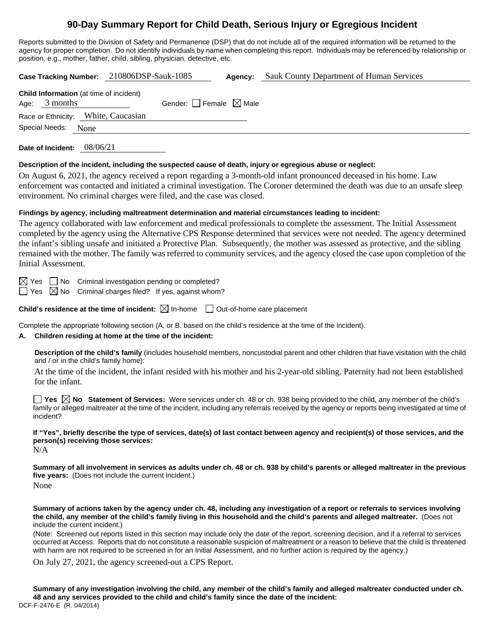# **90-Day Summary Report for Child Death, Serious Injury or Egregious Incident**

Reports submitted to the Division of Safety and Permanence (DSP) that do not include all of the required information will be returned to the agency for proper completion. Do not identify individuals by name when completing this report. Individuals may be referenced by relationship or position, e.g., mother, father, child, sibling, physician, detective, etc.

**Case Tracking Number:** 210806DSP-Sauk-1085 **Agency:** Sauk County Department of Human Services **Child Information** (at time of incident) Age:  $3$  months Gender: Female  $\boxtimes$  Male Race or Ethnicity: White, Caucasian Special Needs: None

**Date of Incident:** 08/06/21

#### **Description of the incident, including the suspected cause of death, injury or egregious abuse or neglect:**

On August 6, 2021, the agency received a report regarding a 3-month-old infant pronounced deceased in his home. Law enforcement was contacted and initiated a criminal investigation. The Coroner determined the death was due to an unsafe sleep environment. No criminal charges were filed, and the case was closed.

#### **Findings by agency, including maltreatment determination and material circumstances leading to incident:**

The agency collaborated with law enforcement and medical professionals to complete the assessment. The Initial Assessment completed by the agency using the Alternative CPS Response determined that services were not needed. The agency determined the infant's sibling unsafe and initiated a Protective Plan. Subsequently, the mother was assessed as protective, and the sibling remained with the mother. The family was referred to community services, and the agency closed the case upon completion of the Initial Assessment.

 $\boxtimes$  Yes  $\Box$  No Criminal investigation pending or completed?

 $\Box$  Yes  $\boxtimes$  No Criminal charges filed? If yes, against whom?

**Child's residence at the time of incident:**  $\boxtimes$  In-home  $\Box$  Out-of-home care placement

Complete the appropriate following section (A. or B. based on the child's residence at the time of the incident).

## **A. Children residing at home at the time of the incident:**

**Description of the child's family** (includes household members, noncustodial parent and other children that have visitation with the child and / or in the child's family home):

At the time of the incident, the infant resided with his mother and his 2-year-old sibling. Paternity had not been established for the infant.

**Yes**  $\boxtimes$  **No** Statement of Services: Were services under ch. 48 or ch. 938 being provided to the child, any member of the child's family or alleged maltreater at the time of the incident, including any referrals received by the agency or reports being investigated at time of incident?

**If "Yes", briefly describe the type of services, date(s) of last contact between agency and recipient(s) of those services, and the person(s) receiving those services:**

N/A

**Summary of all involvement in services as adults under ch. 48 or ch. 938 by child's parents or alleged maltreater in the previous five years:** (Does not include the current incident.) None

**Summary of actions taken by the agency under ch. 48, including any investigation of a report or referrals to services involving the child, any member of the child's family living in this household and the child's parents and alleged maltreater.** (Does not include the current incident.)

(Note: Screened out reports listed in this section may include only the date of the report, screening decision, and if a referral to services occurred at Access. Reports that do not constitute a reasonable suspicion of maltreatment or a reason to believe that the child is threatened with harm are not required to be screened in for an Initial Assessment, and no further action is required by the agency.)

On July 27, 2021, the agency screened-out a CPS Report.

DCF-F-2476-E (R. 04/2014) **Summary of any investigation involving the child, any member of the child's family and alleged maltreater conducted under ch. 48 and any services provided to the child and child's family since the date of the incident:**